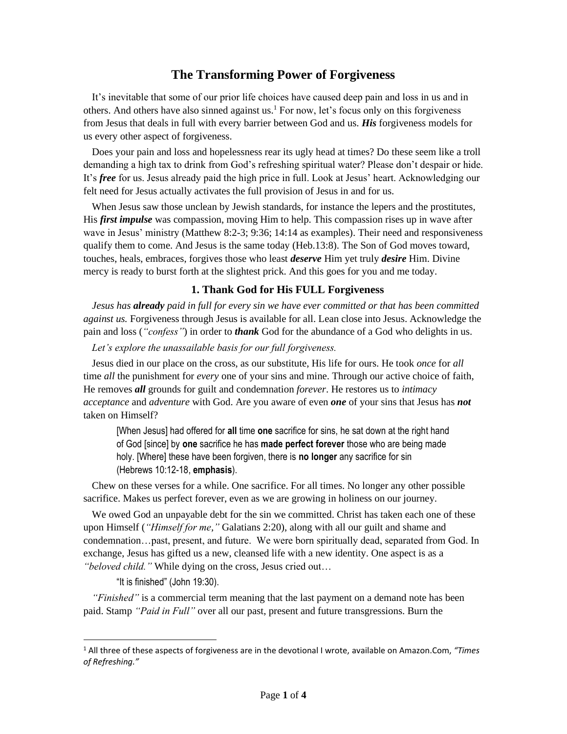## **The Transforming Power of Forgiveness**

It's inevitable that some of our prior life choices have caused deep pain and loss in us and in others. And others have also sinned against us.<sup>1</sup> For now, let's focus only on this forgiveness from Jesus that deals in full with every barrier between God and us. *His* forgiveness models for us every other aspect of forgiveness.

Does your pain and loss and hopelessness rear its ugly head at times? Do these seem like a troll demanding a high tax to drink from God's refreshing spiritual water? Please don't despair or hide. It's *free* for us. Jesus already paid the high price in full. Look at Jesus' heart. Acknowledging our felt need for Jesus actually activates the full provision of Jesus in and for us.

When Jesus saw those unclean by Jewish standards, for instance the lepers and the prostitutes, His *first impulse* was compassion, moving Him to help. This compassion rises up in wave after wave in Jesus' ministry (Matthew 8:2-3; 9:36; 14:14 as examples). Their need and responsiveness qualify them to come. And Jesus is the same today (Heb.13:8). The Son of God moves toward, touches, heals, embraces, forgives those who least *deserve* Him yet truly *desire* Him. Divine mercy is ready to burst forth at the slightest prick. And this goes for you and me today.

## **1. Thank God for His FULL Forgiveness**

*Jesus has already paid in full for every sin we have ever committed or that has been committed against us.* Forgiveness through Jesus is available for all. Lean close into Jesus. Acknowledge the pain and loss (*"confess"*) in order to *thank* God for the abundance of a God who delights in us.

*Let's explore the unassailable basis for our full forgiveness.*

Jesus died in our place on the cross, as our substitute, His life for ours. He took *once* for *all* time *all* the punishment for *every* one of your sins and mine. Through our active choice of faith, He removes *all* grounds for guilt and condemnation *forever*. He restores us to *intimacy acceptance* and *adventure* with God. Are you aware of even *one* of your sins that Jesus has *not*  taken on Himself?

[When Jesus] had offered for **all** time **one** sacrifice for sins, he sat down at the right hand of God [since] by **one** sacrifice he has **made perfect forever** those who are being made holy. [Where] these have been forgiven, there is **no longer** any sacrifice for sin (Hebrews 10:12-18, **emphasis**).

Chew on these verses for a while. One sacrifice. For all times. No longer any other possible sacrifice. Makes us perfect forever, even as we are growing in holiness on our journey.

We owed God an unpayable debt for the sin we committed. Christ has taken each one of these upon Himself (*"Himself for me,"* Galatians 2:20), along with all our guilt and shame and condemnation…past, present, and future. We were born spiritually dead, separated from God. In exchange, Jesus has gifted us a new, cleansed life with a new identity. One aspect is as a *"beloved child."* While dying on the cross, Jesus cried out…

"It is finished" (John 19:30).

*"Finished"* is a commercial term meaning that the last payment on a demand note has been paid. Stamp *"Paid in Full"* over all our past, present and future transgressions. Burn the

<sup>1</sup> All three of these aspects of forgiveness are in the devotional I wrote, available on Amazon.Com, *"Times of Refreshing."*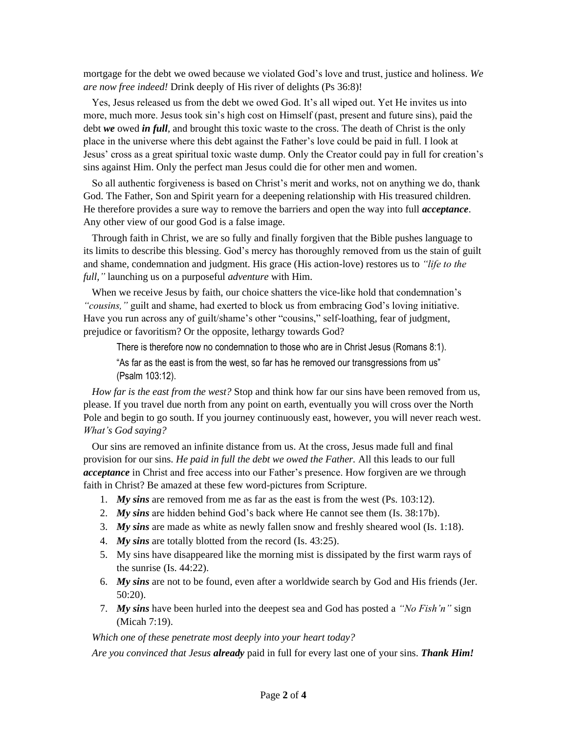mortgage for the debt we owed because we violated God's love and trust, justice and holiness. *We are now free indeed!* Drink deeply of His river of delights (Ps 36:8)!

Yes, Jesus released us from the debt we owed God. It's all wiped out. Yet He invites us into more, much more. Jesus took sin's high cost on Himself (past, present and future sins), paid the debt *we* owed *in full*, and brought this toxic waste to the cross. The death of Christ is the only place in the universe where this debt against the Father's love could be paid in full. I look at Jesus' cross as a great spiritual toxic waste dump. Only the Creator could pay in full for creation's sins against Him. Only the perfect man Jesus could die for other men and women.

So all authentic forgiveness is based on Christ's merit and works, not on anything we do, thank God. The Father, Son and Spirit yearn for a deepening relationship with His treasured children. He therefore provides a sure way to remove the barriers and open the way into full *acceptance*. Any other view of our good God is a false image.

Through faith in Christ, we are so fully and finally forgiven that the Bible pushes language to its limits to describe this blessing. God's mercy has thoroughly removed from us the stain of guilt and shame, condemnation and judgment. His grace (His action-love) restores us to *"life to the full,"* launching us on a purposeful *adventure* with Him.

When we receive Jesus by faith, our choice shatters the vice-like hold that condemnation's *"cousins,"* guilt and shame, had exerted to block us from embracing God's loving initiative. Have you run across any of guilt/shame's other "cousins," self-loathing, fear of judgment, prejudice or favoritism? Or the opposite, lethargy towards God?

There is therefore now no condemnation to those who are in Christ Jesus (Romans 8:1).

"As far as the east is from the west, so far has he removed our transgressions from us" (Psalm 103:12).

*How far is the east from the west?* Stop and think how far our sins have been removed from us, please. If you travel due north from any point on earth, eventually you will cross over the North Pole and begin to go south. If you journey continuously east, however, you will never reach west. *What's God saying?*

Our sins are removed an infinite distance from us. At the cross, Jesus made full and final provision for our sins. *He paid in full the debt we owed the Father.* All this leads to our full *acceptance* in Christ and free access into our Father's presence. How forgiven are we through faith in Christ? Be amazed at these few word-pictures from Scripture.

- 1. *My sins* are removed from me as far as the east is from the west (Ps. 103:12).
- 2. *My sins* are hidden behind God's back where He cannot see them (Is. 38:17b).
- 3. *My sins* are made as white as newly fallen snow and freshly sheared wool (Is. 1:18).
- 4. *My sins* are totally blotted from the record (Is. 43:25).
- 5. My sins have disappeared like the morning mist is dissipated by the first warm rays of the sunrise (Is. 44:22).
- 6. *My sins* are not to be found, even after a worldwide search by God and His friends (Jer. 50:20).
- 7. *My sins* have been hurled into the deepest sea and God has posted a *"No Fish'n"* sign (Micah 7:19).

*Which one of these penetrate most deeply into your heart today?*

*Are you convinced that Jesus already* paid in full for every last one of your sins. *Thank Him!*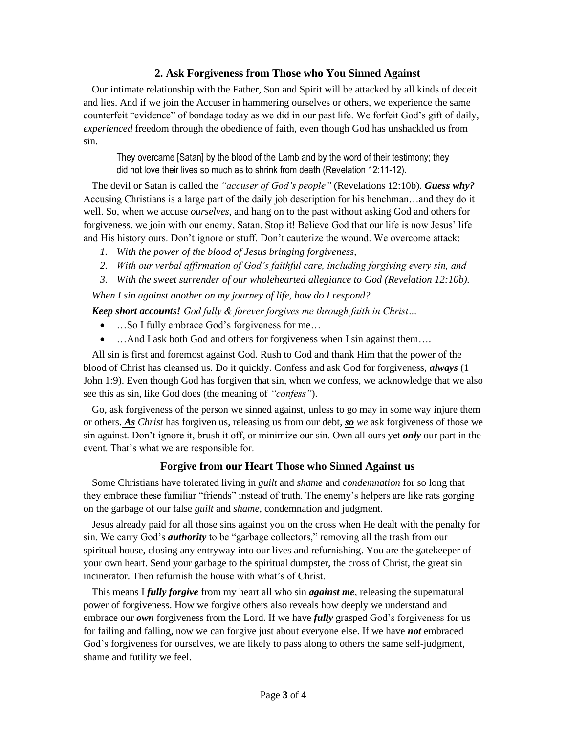## **2. Ask Forgiveness from Those who You Sinned Against**

Our intimate relationship with the Father, Son and Spirit will be attacked by all kinds of deceit and lies. And if we join the Accuser in hammering ourselves or others, we experience the same counterfeit "evidence" of bondage today as we did in our past life. We forfeit God's gift of daily, *experienced* freedom through the obedience of faith, even though God has unshackled us from sin.

They overcame [Satan] by the blood of the Lamb and by the word of their testimony; they did not love their lives so much as to shrink from death (Revelation 12:11-12).

The devil or Satan is called the *"accuser of God's people"* (Revelations 12:10b). *Guess why?* Accusing Christians is a large part of the daily job description for his henchman…and they do it well. So, when we accuse *ourselves*, and hang on to the past without asking God and others for forgiveness, we join with our enemy, Satan. Stop it! Believe God that our life is now Jesus' life and His history ours. Don't ignore or stuff. Don't cauterize the wound. We overcome attack:

- *1. With the power of the blood of Jesus bringing forgiveness,*
- *2. With our verbal affirmation of God's faithful care, including forgiving every sin, and*
- *3. With the sweet surrender of our wholehearted allegiance to God (Revelation 12:10b).*

*When I sin against another on my journey of life, how do I respond?* 

*Keep short accounts! God fully & forever forgives me through faith in Christ…*

- ...So I fully embrace God's forgiveness for me...
- …And I ask both God and others for forgiveness when I sin against them….

All sin is first and foremost against God. Rush to God and thank Him that the power of the blood of Christ has cleansed us. Do it quickly. Confess and ask God for forgiveness, *always* (1 John 1:9). Even though God has forgiven that sin, when we confess, we acknowledge that we also see this as sin, like God does (the meaning of *"confess"*).

Go, ask forgiveness of the person we sinned against, unless to go may in some way injure them or others. *As Christ* has forgiven us, releasing us from our debt, *so we* ask forgiveness of those we sin against. Don't ignore it, brush it off, or minimize our sin. Own all ours yet *only* our part in the event. That's what we are responsible for.

## **Forgive from our Heart Those who Sinned Against us**

Some Christians have tolerated living in *guilt* and *shame* and *condemnation* for so long that they embrace these familiar "friends" instead of truth. The enemy's helpers are like rats gorging on the garbage of our false *guilt* and *shame*, condemnation and judgment*.*

Jesus already paid for all those sins against you on the cross when He dealt with the penalty for sin. We carry God's *authority* to be "garbage collectors," removing all the trash from our spiritual house, closing any entryway into our lives and refurnishing. You are the gatekeeper of your own heart. Send your garbage to the spiritual dumpster, the cross of Christ, the great sin incinerator. Then refurnish the house with what's of Christ.

This means I *fully forgive* from my heart all who sin *against me*, releasing the supernatural power of forgiveness. How we forgive others also reveals how deeply we understand and embrace our *own* forgiveness from the Lord. If we have *fully* grasped God's forgiveness for us for failing and falling, now we can forgive just about everyone else. If we have *not* embraced God's forgiveness for ourselves, we are likely to pass along to others the same self-judgment, shame and futility we feel.